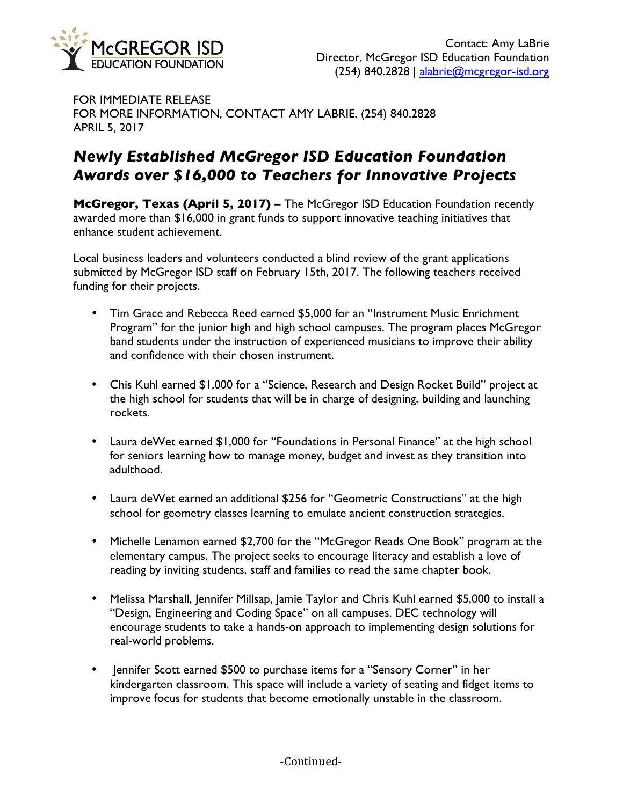

FOR IMMEDIATE RELEASE FOR MORE INFORMATION, CONTACT AMY LABRIE, (254) 840.2828 APRIL 5, 2017

## *Newly Established McGregor ISD Education Foundation Awards over \$16,000 to Teachers for Innovative Projects*

**McGregor, Texas (April 5, 2017) –** The McGregor ISD Education Foundation recently awarded more than \$16,000 in grant funds to support innovative teaching initiatives that enhance student achievement.

Local business leaders and volunteers conducted a blind review of the grant applications submitted by McGregor ISD staff on February 15th, 2017. The following teachers received funding for their projects.

- Tim Grace and Rebecca Reed earned \$5,000 for an "Instrument Music Enrichment Program" for the junior high and high school campuses. The program places McGregor band students under the instruction of experienced musicians to improve their ability and confidence with their chosen instrument.
- Chis Kuhl earned \$1,000 for a "Science, Research and Design Rocket Build" project at the high school for students that will be in charge of designing, building and launching rockets.
- Laura deWet earned \$1,000 for "Foundations in Personal Finance" at the high school for seniors learning how to manage money, budget and invest as they transition into adulthood.
- Laura deWet earned an additional \$256 for "Geometric Constructions" at the high school for geometry classes learning to emulate ancient construction strategies.
- Michelle Lenamon earned \$2,700 for the "McGregor Reads One Book" program at the elementary campus. The project seeks to encourage literacy and establish a love of reading by inviting students, staff and families to read the same chapter book.
- Melissa Marshall, Jennifer Millsap, Jamie Taylor and Chris Kuhl earned \$5,000 to install a "Design, Engineering and Coding Space" on all campuses. DEC technology will encourage students to take a hands-on approach to implementing design solutions for real-world problems.
- Jennifer Scott earned \$500 to purchase items for a "Sensory Corner" in her kindergarten classroom. This space will include a variety of seating and fidget items to improve focus for students that become emotionally unstable in the classroom.